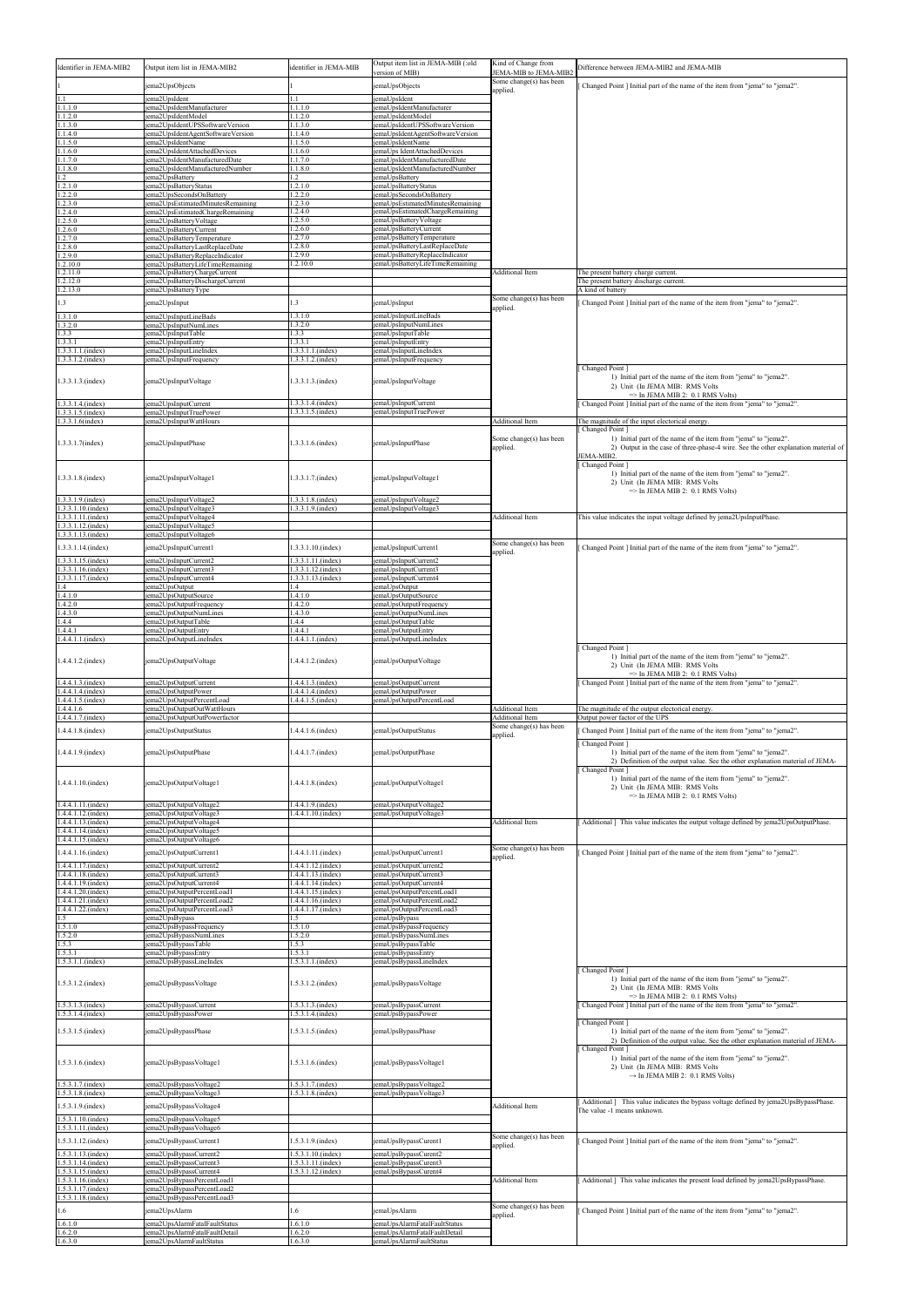| Identifier in JEMA-MIB2                                        | Output item list in JEMA-MIB2                                                                    | identifier in JEMA-MIB                              | Output item list in JEMA-MIB (:old                                    | Kind of Change from                                          | Difference between JEMA-MIB2 and JEMA-MIB                                                                                                                            |
|----------------------------------------------------------------|--------------------------------------------------------------------------------------------------|-----------------------------------------------------|-----------------------------------------------------------------------|--------------------------------------------------------------|----------------------------------------------------------------------------------------------------------------------------------------------------------------------|
|                                                                | ema2UpsObjects                                                                                   |                                                     | version of MIB)<br>emaUpsObjects                                      | JEMA-MIB to JEMA-MIB2<br>Some change(s) has been<br>applied. | Changed Point ] Initial part of the name of the item from "jema" to "jema2".                                                                                         |
| 1.1<br>1.1.1.0                                                 | jema2UpsIdent<br>ema2UpsIdentManufacturer                                                        | 1.1<br>1.1.1.0                                      | emaUpsIdent<br>emaUpsIdentManufacturer                                |                                                              |                                                                                                                                                                      |
| 1.1.2.0<br>1.1.3.0                                             | ema2UpsIdentModel<br>ema2UpsIdentUPSSoftwareVersion                                              | 1.1.2.0<br>1.1.3.0                                  | emaUpsIdentModel<br>emaUpsIdentUPSSoftwareVersion                     |                                                              |                                                                                                                                                                      |
| 1.1.4.0<br>1.1.5.0                                             | ema2UpsIdentAgentSoftwareVersion<br>ema2UpsIdentName                                             | .1.4.0<br>.1.5.0                                    | emaUpsIdentAgentSoftwareVersion<br>emaUpsIdentName                    |                                                              |                                                                                                                                                                      |
| 1.1.6.0<br>1.1.7.0                                             | jema2UpsIdentAttachedDevices<br>jema2UpsIdentManufacturedDate                                    | 1.1.6.0<br>1.1.7.0                                  | emaUps IdentAttachedDevices<br>emaUpsIdentManufacturedDate            |                                                              |                                                                                                                                                                      |
| 1.1.8.0<br>1.2<br>1.2.1.0                                      | ema2UpsIdentManufacturedNumber<br>ema2UpsBatterv<br>jema2UpsBatteryStatus                        | .1.8.0<br>$\cdot$ 2<br>1.2.1.0                      | emaUpsIdentManufacturedNumber<br>emaUpsBattery<br>emaUpsBatteryStatus |                                                              |                                                                                                                                                                      |
| 1.2.2.0<br>1.2.3.0                                             | ema2UpsSecondsOnBattery<br>ema2UpsEstimatedMinutesRemaining                                      | 1.2.2.0<br>.2.3.0                                   | emaUpsSecondsOnBattery<br>emaUpsEstimatedMinutesRemaining             |                                                              |                                                                                                                                                                      |
| 1.2.4.0<br>1.2.5.0                                             | ema2UpsEstimatedChargeRemaining<br>jema2UpsBatteryVoltage                                        | .2.4.0<br>1.2.5.0                                   | emaUpsEstimatedChargeRemaining<br>emaUpsBatteryVoltage                |                                                              |                                                                                                                                                                      |
| 1.2.6.0<br>1.2.7.0                                             | ema2UpsBatteryCurrent<br>ema2UpsBatteryTemperature                                               | .2.6.0<br>1.2.7.0                                   | emaUpsBatteryCurrent<br>emaUpsBatteryTemperature                      |                                                              |                                                                                                                                                                      |
| 1.2.8.0<br>1.2.9.0                                             | ema2UpsBatteryLastReplaceDate<br>ema2UpsBatteryReplaceIndicator                                  | 1.2.8.0<br>1.2.9.0                                  | emaUpsBatteryLastReplaceDate<br>emaUpsBatteryReplaceIndicator         |                                                              |                                                                                                                                                                      |
| 1.2.10.0<br>1.2.11.0<br>1.2.12.0                               | ema2UpsBatteryLifeTimeRemaining<br>ema2UpsBatteryChargeCurrent<br>ema2UpsBatteryDischargeCurrent | 1.2.10.0                                            | emaUpsBatteryLifeTimeRemaining                                        | <b>Additional Item</b>                                       | The present battery charge current.<br>The present battery discharge current.                                                                                        |
| 1.2.13.0                                                       | ema2UpsBatteryType                                                                               |                                                     |                                                                       | Some change(s) has been                                      | A kind of battery                                                                                                                                                    |
| 1.3<br>1.3.1.0                                                 | ema2UpsInput<br>ema2UpsInputLineBads                                                             | 1.3<br>1.3.1.0                                      | emaUpsInput<br>emaUpsInputLineBads                                    | applied.                                                     | Changed Point ] Initial part of the name of the item from "jema" to "jema2".                                                                                         |
| 1.3.2.0<br>1.3.3                                               | ema2UpsInputNumLines<br>ema2UpsInputTable                                                        | .3.2.0<br>.3.3                                      | emaUpsInputNumLines<br>emaUpsInputTable                               |                                                              |                                                                                                                                                                      |
| 1.3.3.1<br>$1.3.3.1.1$ .(index)<br>1.3.3.1.2.(index)           | jema2UpsInputEntry<br>jema2UpsInputLineIndex                                                     | 1.3.3.1<br>$.3.3.1.1$ . (index)                     | emaUpsInputEntry<br>emaUpsInputLineIndex                              |                                                              |                                                                                                                                                                      |
|                                                                | ema2UpsInputFrequency                                                                            | $.3.3.1.2$ . (index)                                | emaUpsInputFrequency                                                  |                                                              | Changed Point<br>1) Initial part of the name of the item from "jema" to "jema2".                                                                                     |
| 1.3.3.1.3.(index)                                              | jema2UpsInputVoltage                                                                             | 1.3.3.1.3.(index)                                   | jemaUpsInputVoltage                                                   |                                                              | 2) Unit (In JEMA MIB: RMS Volts<br>$\Rightarrow$ In JEMA MIB 2: 0.1 RMS Volts)                                                                                       |
| 1.3.3.1.4.(index)<br>1.3.3.1.5.(index)                         | jema2UpsInputCurrent<br>ema2UpsInputTruePower                                                    | 1.3.3.1.4.(index)<br>1.3.3.1.5.(index)              | emaUpsInputCurrent<br>emaUpsInputTruePower                            |                                                              | Changed Point ] Initial part of the name of the item from "jema" to "jema2".                                                                                         |
| 1.3.3.1.6(index)                                               | ema2UpsInputWattHours                                                                            |                                                     |                                                                       | <b>Additional Item</b>                                       | The magnitude of the input electorical energy<br>Changed Point 1                                                                                                     |
| 1.3.3.1.7(index)                                               | jema2UpsInputPhase                                                                               | 1.3.3.1.6.(index)                                   | jemaUpsInputPhase                                                     | Some change(s) has been<br>applied.                          | 1) Initial part of the name of the item from "jema" to "jema2".<br>2) Output in the case of three-phase-4 wire. See the other explanation material of                |
|                                                                |                                                                                                  |                                                     |                                                                       |                                                              | JEMA-MIB2.<br>Changed Point 1<br>1) Initial part of the name of the item from "jema" to "jema2".                                                                     |
| 1.3.3.1.8.(index)                                              | jema2UpsInputVoltage1                                                                            | 1.3.3.1.7.(index)                                   | jemaUpsInputVoltage1                                                  |                                                              | 2) Unit (In JEMA MIB: RMS Volts<br>$\Rightarrow$ In JEMA MIB 2: 0.1 RMS Volts)                                                                                       |
| 1.3.3.1.9.(index)<br>1.3.3.1.10.(index)                        | ema2UpsInputVoltage2<br>ema2UpsInputVoltage3                                                     | $.3.3.1.8$ . (index)<br>$1.3.3.1.9$ . (index)       | emaUpsInputVoltage2<br>emaUpsInputVoltage3                            |                                                              |                                                                                                                                                                      |
| 1.3.3.1.11.(index)<br>$.3.3.1.12$ .(index)                     | jema2UpsInputVoltage4<br>ema2UpsInputVoltage5                                                    |                                                     |                                                                       | <b>Additional Item</b>                                       | This value indicates the input voltage defined by jema2UpsInputPhase.                                                                                                |
| 1.3.3.1.13.(index)<br>1.3.3.1.14.(index)                       | ema2UpsInputVoltage6<br>jema2UpsInputCurrent1                                                    | 1.3.3.1.10.(index)                                  | jemaUpsInputCurrent1                                                  | Some change(s) has been                                      | Changed Point ] Initial part of the name of the item from "jema" to "jema2".                                                                                         |
| 1.3.3.1.15.(index)<br>1.3.3.1.16.(index)                       | ema2UpsInputCurrent2<br>jema2UpsInputCurrent3                                                    | 1.3.3.1.11.(index)<br>1.3.3.1.12.(index)            | emaUpsInputCurrent2<br>emaUpsInputCurrent3                            | applied.                                                     |                                                                                                                                                                      |
| 1.3.3.1.17.(index)<br>1.4                                      | ema2UpsInputCurrent4<br>ema2UpsOutput                                                            | 1.3.3.1.13.(index)<br>1.4                           | emaUpsInputCurrent4<br>emaUpsOutput                                   |                                                              |                                                                                                                                                                      |
| 1.4.1.0<br>1.4.2.0                                             | ema2UpsOutputSource<br>ema2UpsOutputFrequency                                                    | 1.4.1.0<br>.4.2.0                                   | emaUpsOutputSource<br>emaUpsOutputFrequency                           |                                                              |                                                                                                                                                                      |
| 1.4.3.0<br>1.4.4                                               | jema2UpsOutputNumLines<br>ema2UpsOutputTable                                                     | 1.4.3.0<br>.4.4                                     | emaUpsOutputNumLines<br>emaUpsOutputTable                             |                                                              |                                                                                                                                                                      |
| 1.4.4.1<br>1.4.4.1.1.(index)                                   | ema2UpsOutputEntry<br>ema2UpsOutputLineIndex                                                     | .4.4.1<br>$.4.4.1.1$ . (index)                      | emaUpsOutputEntry<br>emaUpsOutputLineIndex                            |                                                              | Changed Point                                                                                                                                                        |
| 1.4.4.1.2.(index)                                              | jema2UpsOutputVoltage                                                                            | 1.4.4.1.2.(index)                                   | jemaUpsOutputVoltage                                                  |                                                              | 1) Initial part of the name of the item from "jema" to "jema2".<br>2) Unit (In JEMA MIB: RMS Volts<br>$\Rightarrow$ In JEMA MIB 2: 0.1 RMS Volts)                    |
| 1.4.4.1.3.(index)<br>1.4.4.1.4.(index)                         | ema2UpsOutputCurrent<br>jema2UpsOutputPower                                                      | $.4.4.1.3$ . (index)<br>$.4.4.1.4$ . (index)        | emaUpsOutputCurrent<br>emaUpsOutputPower                              |                                                              | Changed Point ] Initial part of the name of the item from "jema" to "jema2".                                                                                         |
| 1.4.4.1.5.(index)<br>1.4.4.1.6                                 | ema2UpsOutputPercentLoad<br>ema2UpsOutputOutWattHours                                            | $.4.4.1.5$ . (index)                                | emaUpsOutputPercentLoad                                               | <b>Additional Item</b>                                       | The magnitude of the output electorical energy.                                                                                                                      |
| 1.4.4.1.7.(index)<br>1.4.4.1.8.(index)                         | jema2UpsOutputOutPowerfactor<br>jema2UpsOutputStatus                                             | $.4.4.1.6$ . (index)                                | emaUpsOutputStatus                                                    | <b>Additional Item</b><br>Some change(s) has been            | Output power factor of the UPS<br>Changed Point ] Initial part of the name of the item from "jema" to "jema2".                                                       |
| 1.4.4.1.9.(index)                                              | jema2UpsOutputPhase                                                                              | 1.4.4.1.7.(index)                                   | jemaUpsOutputPhase                                                    | applied.                                                     | Changed Point<br>1) Initial part of the name of the item from "jema" to "jema2".                                                                                     |
|                                                                |                                                                                                  |                                                     |                                                                       |                                                              | 2) Definition of the output value. See the other explanation material of JEMA-<br>Changed Point                                                                      |
| $1.4.4.1.10$ .(index)                                          | jema2UpsOutputVoltage1                                                                           | 1.4.4.1.8.(index)                                   | jemaUpsOutputVoltage1                                                 |                                                              | 1) Initial part of the name of the item from "jema" to "jema2".<br>2) Unit (In JEMA MIB: RMS Volts<br>$\Rightarrow$ In JEMA MIB 2: 0.1 RMS Volts)                    |
| 1.4.4.1.11.(index)<br>1.4.4.1.12.(index)<br>1.4.4.1.13.(index) | jema2UpsOutputVoltage2<br>ema2UpsOutputVoltage3<br>ema2UpsOutputVoltage4                         | 1.4.4.1.9.(index)<br>$.4.4.1.10$ .(index)           | emaUpsOutputVoltage2<br>emaUpsOutputVoltage3                          | <b>Additional Item</b>                                       | Additional ] This value indicates the output voltage defined by jema2UpsOutputPhase.                                                                                 |
| $1.4.4.1.14$ .(index)<br>1.4.4.1.15.(index)                    | jema2UpsOutputVoltage5<br>jema2UpsOutputVoltage6                                                 |                                                     |                                                                       |                                                              |                                                                                                                                                                      |
| 1.4.4.1.16.(index)                                             | jema2UpsOutputCurrent1                                                                           | .4.4.1.11.(index)                                   | jemaUpsOutputCurrent1                                                 | Some change(s) has been<br>applied.                          | Changed Point ] Initial part of the name of the item from "jema" to "jema2".                                                                                         |
| 1.4.4.1.17.(index)<br>1.4.4.1.18.(index)                       | jema2UpsOutputCurrent2<br>ema2UpsOutputCurrent3                                                  | $1.4.4.1.12$ .(index)<br>.4.4.1.13.(index)          | emaUpsOutputCurrent2<br>emaUpsOutputCurrent3                          |                                                              |                                                                                                                                                                      |
| $1.4.4.1.19$ .(index)<br>1.4.4.1.20.(index)                    | ema2UpsOutputCurrent4<br>ema2UpsOutputPercentLoad1                                               | .4.4.1.14.(index)<br>$.4.4.1.15$ . (index)          | emaUpsOutputCurrent4<br>emaUpsOutputPercentLoad1                      |                                                              |                                                                                                                                                                      |
| 1.4.4.1.21.(index)<br>1.4.4.1.22.(index)<br>1.5                | ema2UpsOutputPercentLoad2<br>ema2UpsOutputPercentLoad3<br>ema2UpsBypass                          | $.4.4.1.16$ . (index)<br>$.4.4.1.17$ .(index)<br>.5 | emaUpsOutputPercentLoad2<br>emaUpsOutputPercentLoad3<br>emaUpsBypass  |                                                              |                                                                                                                                                                      |
| 1.5.1.0<br>1.5.2.0                                             | ema2UpsBypassFrequency<br>jema2UpsBypassNumLines                                                 | 1.5.1.0<br>1.5.2.0                                  | emaUpsBypassFrequency<br>emaUpsBypassNumLines                         |                                                              |                                                                                                                                                                      |
| 1.5.3<br>1.5.3.1                                               | jema2UpsBypassTable<br>jema2UpsBypassEntry                                                       | 1.5.3<br>.5.3.1                                     | emaUpsBypassTable<br>emaUpsBypassEntry                                |                                                              |                                                                                                                                                                      |
| $1.5.3.1.1$ .(index)                                           | jema2UpsBypassLineIndex                                                                          | $1.5.3.1.1$ .(index)                                | emaUpsBypassLineIndex                                                 |                                                              | Changed Point                                                                                                                                                        |
| $1.5.3.1.2$ .(index)                                           | jema2UpsBypassVoltage                                                                            | $1.5.3.1.2$ . (index)                               | jemaUpsBypassVoltage                                                  |                                                              | 1) Initial part of the name of the item from "jema" to "jema2".<br>2) Unit (In JEMA MIB: RMS Volts<br>$\Rightarrow$ In JEMA MIB 2: 0.1 RMS Volts)                    |
| $1.5.3.1.3$ . (index)<br>$1.5.3.1.4$ .(index)                  | ema2UpsBypassCurrent<br>ema2UpsBypassPower                                                       | $.5.3.1.3$ . (index)<br>$.5.3.1.4$ . (index)        | emaUpsBypassCurrent<br>emaUpsBypassPower                              |                                                              | Changed Point ] Initial part of the name of the item from "jema" to "jema2".                                                                                         |
| $1.5.3.1.5$ .(index)                                           | jema2UpsBypassPhase                                                                              | $1.5.3.1.5$ . (index)                               | jemaUpsBypassPhase                                                    |                                                              | Changed Point 1<br>1) Initial part of the name of the item from "jema" to "jema2".<br>2) Definition of the output value. See the other explanation material of JEMA- |
| 1.5.3.1.6.(index)                                              | jema2UpsBypassVoltage1                                                                           | $1.5.3.1.6$ .(index)                                | jemaUpsBypassVoltage1                                                 |                                                              | Changed Point<br>1) Initial part of the name of the item from "jema" to "jema2".<br>2) Unit (In JEMA MIB: RMS Volts<br>$\rightarrow$ In JEMA MIB 2: 0.1 RMS Volts)   |
| 1.5.3.1.7.(index)<br>1.5.3.1.8.(index)                         | ema2UpsBypassVoltage2<br>ema2UpsBypassVoltage3                                                   | $.5.3.1.7$ .(index)<br>$.5.3.1.8$ . (index)         | emaUpsBypassVoltage2<br>emaUpsBypassVoltage3                          |                                                              |                                                                                                                                                                      |
| 1.5.3.1.9.(index)                                              | ema2UpsBypassVoltage4                                                                            |                                                     |                                                                       | <b>Additional Item</b>                                       | Additional ] This value indicates the bypass voltage defined by jema2UpsBypassPhase.<br>The value -1 means unknown.                                                  |
| 1.5.3.1.10.(index)<br>1.5.3.1.11.(index)                       | ema2UpsBypassVoltage5<br>ema2UpsBypassVoltage6                                                   |                                                     |                                                                       |                                                              |                                                                                                                                                                      |
| 1.5.3.1.12.(index)<br>1.5.3.1.13.(index)                       | ema2UpsBypassCurrent1<br>jema2UpsBypassCurrent2                                                  | $.5.3.1.9$ (index)<br>$1.5.3.1.10$ .(index)         | emaUpsBypassCurent1<br>emaUpsBypassCurent2                            | Some change(s) has been<br>applied.                          | Changed Point ] Initial part of the name of the item from "jema" to "jema2".                                                                                         |
| 1.5.3.1.14.(index)<br>$.5.3.1.15$ .(index)                     | ema2UpsBypassCurrent3<br>ema2UpsBypassCurrent4                                                   | 1.5.3.1.11.(index)<br>.5.3.1.12.(index)             | emaUpsBypassCurent3<br>emaUpsBypassCurent4                            |                                                              |                                                                                                                                                                      |
| 1.5.3.1.16.(index)<br>$1.5.3.1.17$ .(index)                    | jema2UpsBypassPercentLoad1<br>jema2UpsBypassPercentLoad2                                         |                                                     |                                                                       | <b>Additional Item</b>                                       | Additional ] This value indicates the present load defined by jema2UpsBypassPhase.                                                                                   |
| 1.5.3.1.18.(index)<br>1.6                                      | jema2UpsBypassPercentLoad3<br>ema2UpsAlarm                                                       | .6                                                  | emaUpsAlarm                                                           | Some change(s) has been                                      | Changed Point   Initial part of the name of the item from "jema" to "jema2".                                                                                         |
| 1.6.1.0                                                        | ema2UpsAlarmFatalFaultStatus                                                                     | .6.1.0                                              | emaUpsAlarmFatalFaultStatus                                           | applied.                                                     |                                                                                                                                                                      |
| 1.6.2.0<br>1.6.3.0                                             | ema2UpsAlarmFatalFaultDetail<br>jema2UpsAlarmFaultStatus                                         | .6.2.0<br>1.6.3.0                                   | emaUpsAlarmFatalFaultDetail<br>emaUpsAlarmFaultStatus                 |                                                              |                                                                                                                                                                      |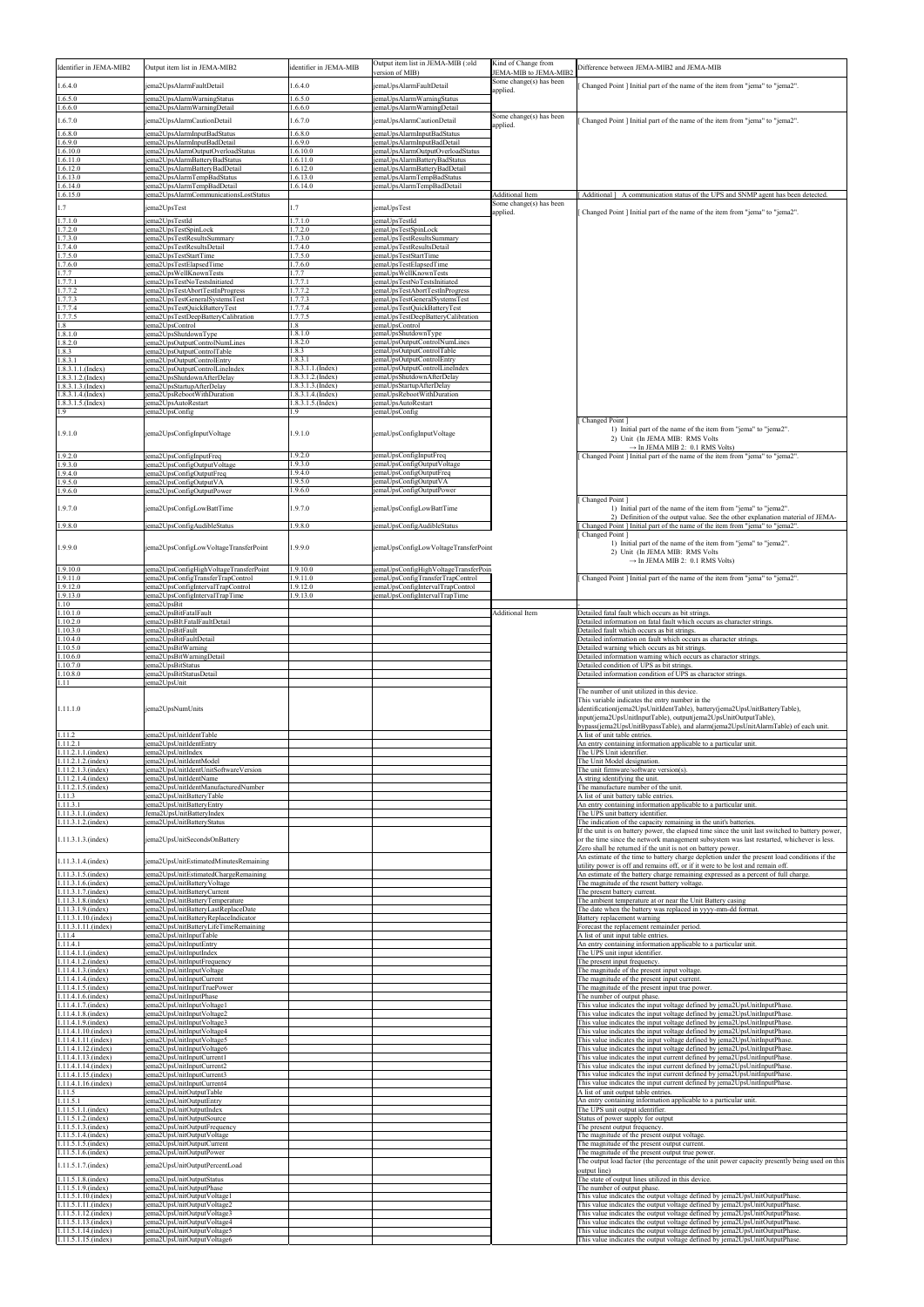| Identifier in JEMA-MIB2                                            | Output item list in JEMA-MIB2                                                                     | identifier in JEMA-MIB                       | Output item list in JEMA-MIB (:old<br>version of MIB)                       | Kind of Change from<br>JEMA-MIB to JEMA-MIB2 | Difference between JEMA-MIB2 and JEMA-MIB                                                                                                                                                                                                                                                                                           |
|--------------------------------------------------------------------|---------------------------------------------------------------------------------------------------|----------------------------------------------|-----------------------------------------------------------------------------|----------------------------------------------|-------------------------------------------------------------------------------------------------------------------------------------------------------------------------------------------------------------------------------------------------------------------------------------------------------------------------------------|
| 1.6.4.0                                                            | ema2UpsAlarmFaultDetail                                                                           | .6.4.0                                       | emaUpsAlarmFaultDetail                                                      | Some change(s) has been<br>applied.          | Changed Point   Initial part of the name of the item from "jema" to "jema2".                                                                                                                                                                                                                                                        |
| 0.6.5.0<br>1.6.6.0                                                 | ema2UpsAlarmWarningStatus<br>ema2UpsAlarmWarningDetail                                            | .6.5.0<br>.6.6.0                             | emaUpsAlarmWarningStatus<br>emaUpsAlarmWarningDetail                        |                                              |                                                                                                                                                                                                                                                                                                                                     |
| 1.6.7.0<br>1.6.8.0                                                 | jema2UpsAlarmCautionDetail                                                                        | 1.6.7.0<br>.6.8.0                            | emaUpsAlarmCautionDetail<br>emaUpsAlarmInputBadStatus                       | Some change(s) has been<br>applied.          | Changed Point   Initial part of the name of the item from "jema" to "jema2".                                                                                                                                                                                                                                                        |
| 1.6.9.0<br>.6.10.0                                                 | ema2UpsAlarmInputBadStatus<br>ema2UpsAlarmInputBadDetail<br>ema2UpsAlarmOutputOverloadStatus      | 1.6.9.0<br>.6.10.0                           | emaUpsAlarmInputBadDetail<br>emaUpsAlarmOutputOverloadStatus                |                                              |                                                                                                                                                                                                                                                                                                                                     |
| 1.6.11.0<br>.6.12.0                                                | ema2UpsAlarmBatteryBadStatus<br>ema2UpsAlarmBattervBadDetail                                      | .6.11.0<br>1.6.12.0                          | emaUpsAlarmBatteryBadStatus<br>emaUpsAlarmBatteryBadDetail                  |                                              |                                                                                                                                                                                                                                                                                                                                     |
| .6.13.0<br>.6.14.0                                                 | ema2UpsAlarmTempBadStatus<br>ema2UpsAlarmTempBadDetail                                            | .6.13.0<br>.6.14.0                           | emaUpsAlarmTempBadStatus<br>emaUpsAlarmTempBadDetail                        |                                              |                                                                                                                                                                                                                                                                                                                                     |
| 1.6.15.0                                                           | ema2UpsAlarmCommunicationsLostStatus                                                              |                                              |                                                                             | Additional Item<br>Some change(s) has been   | Additional ] A communication status of the UPS and SNMP agent has been detected.                                                                                                                                                                                                                                                    |
| 1.7<br>1.7.1.0                                                     | jema2UpsTest<br>ema2UpsTestId                                                                     | .7<br>1.7.1.0                                | emaUpsTest<br>emaUpsTestId                                                  | applied.                                     | Changed Point   Initial part of the name of the item from "jema" to "jema2".                                                                                                                                                                                                                                                        |
| .7.2.0<br>1.7.3.0                                                  | ema2UpsTestSpinLock<br>ema2UpsTestResultsSummary                                                  | .7.2.0<br>1.7.3.0                            | emaUpsTestSpinLock<br>emaUpsTestResultsSummary                              |                                              |                                                                                                                                                                                                                                                                                                                                     |
| .7.4.0<br>1.7.5.0                                                  | ema2UpsTestResultsDetail<br>ema2UpsTestStartTime                                                  | .7.4.0<br>.7.5.0                             | emaUpsTestResultsDetail<br>emaUpsTestStartTime                              |                                              |                                                                                                                                                                                                                                                                                                                                     |
| 1.7.6.0<br>.7.7                                                    | ema2UpsTestElapsedTime<br>ema2UpsWellKnownTests                                                   | 1.7.6.0<br>.7.7                              | emaUpsTestElapsedTime<br>emaUpsWellKnownTests                               |                                              |                                                                                                                                                                                                                                                                                                                                     |
| .7.7.1<br>.7.7.2                                                   | ema2UpsTestNoTestsInitiated<br>ema2UpsTestAbortTestInProgress                                     | .7.7.1<br>.7.7.2                             | emaUpsTestNoTestsInitiated<br>emaUpsTestAbortTestInProgress                 |                                              |                                                                                                                                                                                                                                                                                                                                     |
| .7.7.3<br>.7.7.4                                                   | ema2UpsTestGeneralSystemsTest<br>ema2UpsTestQuickBatteryTest                                      | .7.7.3<br>.7.7.4                             | emaUpsTestGeneralSystemsTest<br>emaUpsTestQuickBatteryTest                  |                                              |                                                                                                                                                                                                                                                                                                                                     |
| 1.7.7.5<br>l.8<br>1.8.1.0                                          | ema2UpsTestDeepBatteryCalibration<br>ema2UpsControl<br>ema2UpsShutdownType                        | .7.7.5<br>.8<br>1.8.1.0                      | emaUpsTestDeepBatteryCalibration<br>emaUpsControl<br>emaUpsShutdownType     |                                              |                                                                                                                                                                                                                                                                                                                                     |
| .8.2.0<br>1.8.3                                                    | ema2UpsOutputControlNumLines<br>ema2UpsOutputControlTable                                         | .8.2.0<br>.8.3                               | emaUpsOutputControlNumLines<br>emaUpsOutputControlTable                     |                                              |                                                                                                                                                                                                                                                                                                                                     |
| 1.8.3.1<br>$.8.3.1.1$ . (Index)                                    | ema2UpsOutputControlEntry<br>ema2UpsOutputControlLineIndex                                        | 1.8.3.1<br>$.8.3.1.1$ . (Index)              | emaUpsOutputControlEntry<br>emaUpsOutputControlLineIndex                    |                                              |                                                                                                                                                                                                                                                                                                                                     |
| $.8.3.1.2$ . (Index)<br>1.8.3.1.3.(Index)                          | ema2UpsShutdownAfterDelay<br>ema2UpsStartupAfterDelay                                             | $.8.3.1.2$ . (Index)<br>$.8.3.1.3$ . (Index) | emaUpsShutdownAfterDelay<br>emaUpsStartupAfterDelay                         |                                              |                                                                                                                                                                                                                                                                                                                                     |
| $.8.3.1.4$ . (Index)<br>1.8.3.1.5.(Index)                          | ema2UpsRebootWithDuration<br>ema2UpsAutoRestart                                                   | $.8.3.1.4$ . (Index)<br>$.8.3.1.5$ . (Index) | emaUpsRebootWithDuration<br>emaUpsAutoRestart                               |                                              |                                                                                                                                                                                                                                                                                                                                     |
|                                                                    | ema2UpsConfig                                                                                     | $\cdot$ .9                                   | emaUpsConfig                                                                |                                              | Changed Point 1                                                                                                                                                                                                                                                                                                                     |
| 1.9.1.0                                                            | jema2UpsConfigInputVoltage                                                                        | 1.9.1.0                                      | emaUpsConfigInputVoltage                                                    |                                              | 1) Initial part of the name of the item from "jema" to "jema2".<br>2) Unit (In JEMA MIB: RMS Volts<br>$\rightarrow$ In JEMA MIB 2: 0.1 RMS Volts)                                                                                                                                                                                   |
| 1.9.2.0<br>.9.3.0                                                  | ema2UpsConfigInputFreq<br>ema2UpsConfigOutputVoltage                                              | 1.9.2.0<br>1.9.3.0                           | emaUpsConfigInputFreq<br>emaUpsConfigOutputVoltage                          |                                              | Changed Point ] Initial part of the name of the item from "jema" to "jema2".                                                                                                                                                                                                                                                        |
| .9.4.0<br>1.9.5.0                                                  | ema2UpsConfigOutputFreq<br>ema2UpsConfigOutputVA                                                  | .9.4.0<br>1.9.5.0                            | emaUpsConfigOutputFreq<br>emaUpsConfigOutputVA                              |                                              |                                                                                                                                                                                                                                                                                                                                     |
| .9.6.0                                                             | ema2UpsConfigOutputPower                                                                          | .9.6.0                                       | emaUpsConfigOutputPower                                                     |                                              | Changed Point ]                                                                                                                                                                                                                                                                                                                     |
| 1.9.7.0<br>1.9.8.0                                                 | jema2UpsConfigLowBattTime<br>ema2UpsConfigAudibleStatus                                           | .9.7.0<br>.9.8.0                             | emaUpsConfigLowBattTime<br>emaUpsConfigAudibleStatus                        |                                              | 1) Initial part of the name of the item from "jema" to "jema2".<br>2) Definition of the output value. See the other explanation material of JEMA-<br>Changed Point   Initial part of the name of the item from "jema" to "jema2"                                                                                                    |
|                                                                    |                                                                                                   |                                              |                                                                             |                                              | Changed Point 1<br>1) Initial part of the name of the item from "jema" to "jema2".                                                                                                                                                                                                                                                  |
| 1.9.9.0<br>1.9.10.0                                                | jema2UpsConfigLowVoltageTransferPoint<br>ema2UpsConfigHighVoltageTransferPoint                    | 1.9.9.0<br>.9.10.0                           | jemaUpsConfigLowVoltageTransferPoint<br>emaUpsConfigHighVoltageTransferPoin |                                              | 2) Unit (In JEMA MIB: RMS Volts<br>$\rightarrow$ In JEMA MIB 2: 0.1 RMS Volts)                                                                                                                                                                                                                                                      |
| 1.9.11.0<br>1.9.12.0                                               | ema2UpsConfigTransferTrapControl<br>ema2UpsConfigIntervalTrapControl                              | 1.9.11.0<br>1.9.12.0                         | emaUpsConfigTransferTrapControl<br>emaUpsConfigIntervalTrapControl          |                                              | Changed Point ] Initial part of the name of the item from "jema" to "jema2".                                                                                                                                                                                                                                                        |
| .9.13.0<br>.10                                                     | ema2UpsConfigIntervalTrapTime<br>ema2UpsBit                                                       | .9.13.0                                      | emaUpsConfigIntervalTrapTime                                                |                                              |                                                                                                                                                                                                                                                                                                                                     |
| 1.10.1.0<br>1.10.2.0                                               | ema2UpsBitFatalFault<br>ema2UpsBItFatalFaultDetail                                                |                                              |                                                                             | <b>Additional Item</b>                       | Detailed fatal fault which occurs as bit strings.<br>Detailed information on fatal fault which occurs as character strings.                                                                                                                                                                                                         |
| 1.10.3.0<br>.10.4.0                                                | ema2UpsBitFault<br>ema2UpsBitFaultDetail                                                          |                                              |                                                                             |                                              | Detailed fault which occurs as bit strings.<br>Detailed information on fault which occurs as character strings.                                                                                                                                                                                                                     |
| 1.0.5.0<br>.10.6.0                                                 | ema2UpsBitWarning<br>ema2UpsBitWarningDetail                                                      |                                              |                                                                             |                                              | Detailed warning which occurs as bit strings.<br>Detailed information warning which occurs as charactor strings.                                                                                                                                                                                                                    |
| .10.7.0<br>.10.8.0                                                 | ema2UpsBitStatus<br>ema2UpsBitStatusDetail                                                        |                                              |                                                                             |                                              | Detailed condition of UPS as bit strings.<br>Detailed information condition of UPS as charactor strings                                                                                                                                                                                                                             |
| 1.11<br>1.11.1.0                                                   | ema2UpsUnit<br>jema2UpsNumUnits                                                                   |                                              |                                                                             |                                              | The number of unit utilized in this device.<br>This variable indicates the entry number in the<br>identification(jema2UpsUnitIdentTable), battery(jema2UpsUnitBatteryTable),<br>input(jema2UpsUnitInputTable), output(jema2UpsUnitOutputTable),<br>bypass(jema2UpsUnitBypassTable), and alarm(jema2UpsUnitAlarmTable) of each unit. |
| 1.11.2<br>1.11.2.1                                                 | ema2UpsUnitIdentTable<br>ema2UpsUnitIdentEntry                                                    |                                              |                                                                             |                                              | A list of unit table entries.<br>An entry containing information applicable to a particular unit.                                                                                                                                                                                                                                   |
| 1.11.2.1.1.(index)<br>1.11.2.1.2.(index)                           | ema2UpsUnitIndex<br>jema2UpsUnitIdentModel                                                        |                                              |                                                                             |                                              | The UPS Unit idenrifier.<br>The Unit Model designation.                                                                                                                                                                                                                                                                             |
| 1.11.2.1.3.(index)<br>1.11.2.1.4.(index)                           | ema2UpsUnitIdentUnitSoftwareVersion<br>ema2UpsUnitIdentName<br>ema2UpsUnitIdentManufacturedNumber |                                              |                                                                             |                                              | The unit firmware/software version(s).<br>A string identifying the unit.<br>The manufacture number of the unit.                                                                                                                                                                                                                     |
| 1.11.2.1.5.(index)<br>1.11.3<br>1.11.3.1                           | ema2UpsUnitBatteryTable<br>ema2UpsUnitBatteryEntry                                                |                                              |                                                                             |                                              | A list of unit battery table entries.<br>An entry containing information applicable to a particular unit.                                                                                                                                                                                                                           |
| 1.11.3.1.1.(index)<br>1.11.3.1.2.(index)                           | Jema2UpsUnitBatteryIndex<br>ema2UpsUnitBatteryStatus                                              |                                              |                                                                             |                                              | The UPS unit battery identifier.<br>The indication of the capacity remaining in the unit's batteries.                                                                                                                                                                                                                               |
| 1.11.3.1.3.(index)                                                 | jema2UpsUnitSecondsOnBattery                                                                      |                                              |                                                                             |                                              | If the unit is on battery power, the elapsed time since the unit last switched to battery power,<br>or the time since the network management subsystem was last restarted, whichever is less.<br>Zero shall be returned if the unit is not on battery power.                                                                        |
| 1.11.3.1.4.(index)<br>1.11.3.1.5.(index)                           | jema2UpsUnitEstimatedMinutesRemaining<br>ema2UpsUnitEstimatedChargeRemaining                      |                                              |                                                                             |                                              | An estimate of the time to battery charge depletion under the present load conditions if the<br>utility power is off and remains off, or if it were to be lost and remain off.<br>An estimate of the battery charge remaining expressed as a percent of full charge.                                                                |
| 1.11.3.1.6.(index)<br>1.11.3.1.7.(index)<br>1.11.3.1.8.(index)     | ema2UpsUnitBatteryVoltage<br>ema2UpsUnitBatteryCurrent<br>ema2UpsUnitBatteryTemperature           |                                              |                                                                             |                                              | The magnitude of the resent battery voltage.<br>The present battery current.<br>The ambient temperature at or near the Unit Battery casing                                                                                                                                                                                          |
| 1.11.3.1.9.(index)<br>1.11.3.1.10.(index)                          | ema2UpsUnitBatteryLastReplaceDate<br>ema2UpsUnitBatteryReplaceIndicator                           |                                              |                                                                             |                                              | The date when the battery was replaced in yyyy-mm-dd format<br>Battery replacement warning                                                                                                                                                                                                                                          |
| 1.11.3.1.11.(index)<br>1.11.4                                      | ema2UpsUnitBatteryLifeTimeRemaining<br>ema2UpsUnitInputTable                                      |                                              |                                                                             |                                              | Forecast the replacement remainder period.<br>A list of unit input table entries.                                                                                                                                                                                                                                                   |
| 1.11.4.1<br>1.11.4.1.1.(index)                                     | ema2UpsUnitInputEntry<br>ema2UpsUnitInputIndex                                                    |                                              |                                                                             |                                              | An entry containing information applicable to a particular unit.<br>The UPS unit input identifier                                                                                                                                                                                                                                   |
| 1.11.4.1.2.(index)<br>1.11.4.1.3.(index)                           | ema2UpsUnitInputFrequency<br>ema2UpsUnitInputVoltage                                              |                                              |                                                                             |                                              | The present input frequency.<br>The magnitude of the present input voltage.                                                                                                                                                                                                                                                         |
| 1.11.4.1.4.(index)<br>1.11.4.1.5.(index)                           | ema2UpsUnitInputCurrent<br>ema2UpsUnitInputTruePower                                              |                                              |                                                                             |                                              | The magnitude of the present input current.<br>The magnitude of the present input true power.                                                                                                                                                                                                                                       |
| $1.11.4.1.6$ .(index)<br>1.11.4.1.7.(index)                        | ema2UpsUnitInputPhase<br>ema2UpsUnitInputVoltage1                                                 |                                              |                                                                             |                                              | The number of output phase.<br>This value indicates the input voltage defined by jema2UpsUnitInputPhase.                                                                                                                                                                                                                            |
| $.11.4.1.8$ . (index)<br>1.11.4.1.9.(index)<br>1.11.4.1.10.(index) | ema2UpsUnitInputVoltage2<br>ema2UpsUnitInputVoltage3<br>ema2UpsUnitInputVoltage4                  |                                              |                                                                             |                                              | This value indicates the input voltage defined by jema2UpsUnitInputPhase.<br>This value indicates the input voltage defined by jema2UpsUnitInputPhase.<br>This value indicates the input voltage defined by jema2UpsUnitInputPhase.                                                                                                 |
| 1.11.4.1.11.(index)<br>1.11.4.1.12.(index)                         | ema2UpsUnitInputVoltage5<br>ema2UpsUnitInputVoltage6                                              |                                              |                                                                             |                                              | Inis value indicates the input voltage defined by jema2UpsUnitInputPhase.<br>This value indicates the input voltage defined by jema2UpsUnitInputPhase.                                                                                                                                                                              |
| 1.11.4.1.13.(index)<br>1.11.4.1.14.(index)                         | ema2UpsUnitInputCurrent1<br>ema2UpsUnitInputCurrent2                                              |                                              |                                                                             |                                              | This value indicates the input current defined by jema2UpsUnitInputPhase.<br>This value indicates the input current defined by jema2UpsUnitInputPhase.                                                                                                                                                                              |
| 1.11.4.1.15.(index)<br>1.11.4.1.16.(index)                         | ema2UpsUnitInputCurrent3<br>ema2UpsUnitInputCurrent4                                              |                                              |                                                                             |                                              | This value indicates the input current defined by jema2UpsUnitInputPhase.<br>This value indicates the input current defined by jema2UpsUnitInputPhase.                                                                                                                                                                              |
| 1.11.5<br>1.11.5.1                                                 | ema2UpsUnitOutputTable<br>ema2UpsUnitOutputEntry                                                  |                                              |                                                                             |                                              | A list of unit output table entries.<br>An entry containing information applicable to a particular unit.                                                                                                                                                                                                                            |
| $1.11.5.1.1$ .(index)<br>1.11.5.1.2.(index)                        | ema2UpsUnitOutputIndex<br>ema2UpsUnitOutputSource                                                 |                                              |                                                                             |                                              | The UPS unit output identifier.<br>Status of power supply for output                                                                                                                                                                                                                                                                |
| 1.11.5.1.3.(index)<br>1.11.5.1.4.(index)                           | ema2UpsUnitOutputFrequency<br>ema2UpsUnitOutputVoltage                                            |                                              |                                                                             |                                              | The present output frequency.<br>The magnitude of the present output voltage.                                                                                                                                                                                                                                                       |
| 1.11.5.1.5.(index)<br>1.11.5.1.6.(index)                           | ema2UpsUnitOutputCurrent<br>ema2UpsUnitOutputPower                                                |                                              |                                                                             |                                              | The magnitude of the present output current.<br>The magnitude of the present output true power.                                                                                                                                                                                                                                     |
| 1.11.5.1.7.(index)                                                 | jema2UpsUnitOutputPercentLoad                                                                     |                                              |                                                                             |                                              | The output load factor (the percentage of the unit power capacity presently being used on this<br>output line)                                                                                                                                                                                                                      |
| $1.11.5.1.8$ . (index)<br>1.11.5.1.9.(index)                       | ema2UpsUnitOutputStatus<br>ema2UpsUnitOutputPhase                                                 |                                              |                                                                             |                                              | The state of output lines utilized in this device.<br>The number of output phase.                                                                                                                                                                                                                                                   |
| 1.11.5.1.10.(index)<br>1.11.5.1.11.(index)                         | ema2UpsUnitOutputVoltage1<br>ema2UpsUnitOutputVoltage2                                            |                                              |                                                                             |                                              | This value indicates the output voltage defined by jema2UpsUnitOutputPhase.<br>This value indicates the output voltage defined by jema2UpsUnitOutputPhase.                                                                                                                                                                          |
| 1.11.5.1.12.(index)<br>1.11.5.1.13.(index)                         | ema2UpsUnitOutputVoltage3<br>ema2UpsUnitOutputVoltage4                                            |                                              |                                                                             |                                              | This value indicates the output voltage defined by jema2UpsUnitOutputPhase.<br>This value indicates the output voltage defined by jema2UpsUnitOutputPhase.                                                                                                                                                                          |
| 1.11.5.1.14.(index)<br>1.11.5.1.15.(index)                         | ema2UpsUnitOutputVoltage5<br>jema2UpsUnitOutputVoltage6                                           |                                              |                                                                             |                                              | This value indicates the output voltage defined by jema2UpsUnitOutputPhase.<br>This value indicates the output voltage defined by jema2UpsUnitOutputPhase.                                                                                                                                                                          |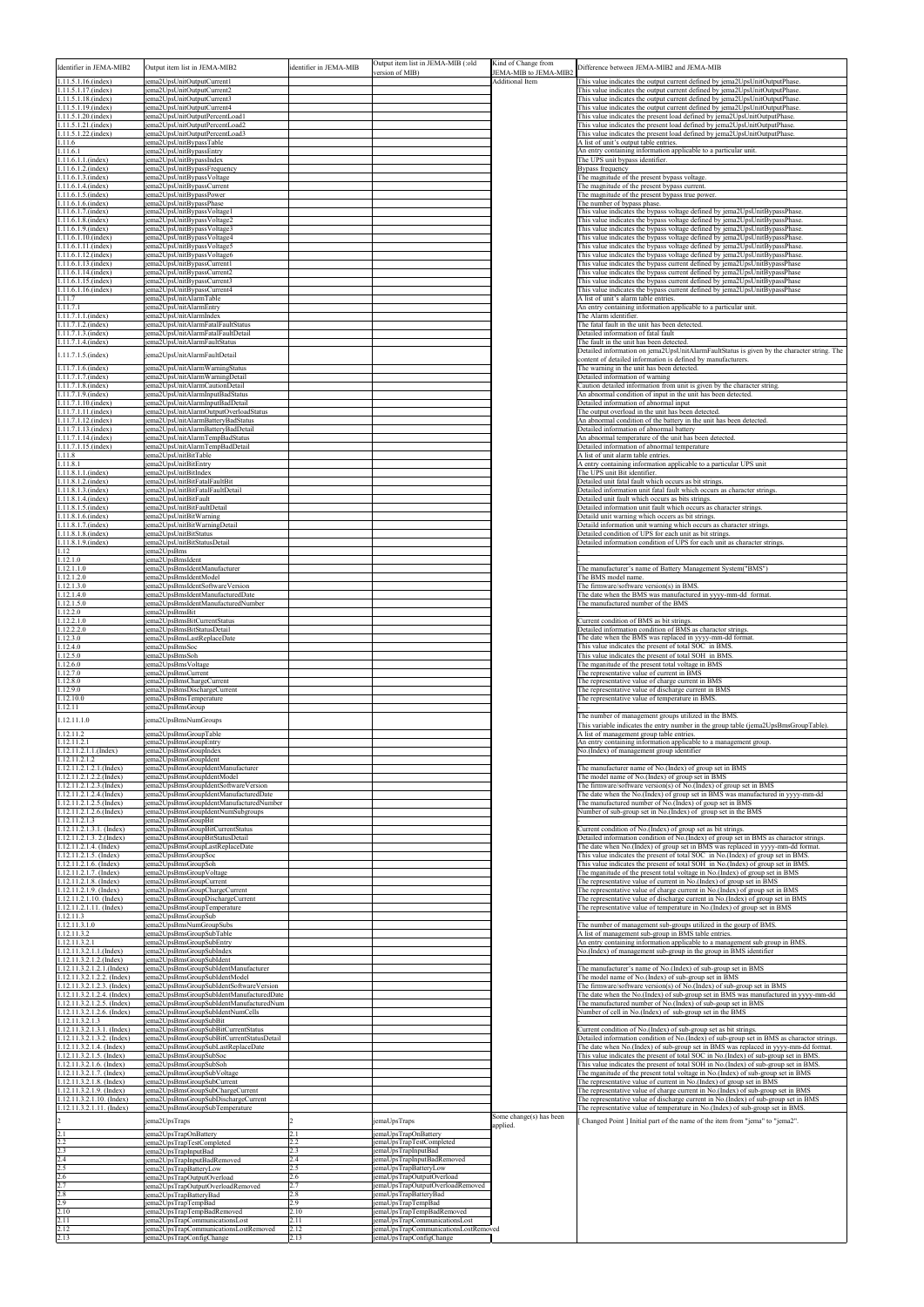| Identifier in JEMA-MIB2                                                                | Output item list in JEMA-MIB2                                                                                           | identifier in JEMA-MIB | Output item list in JEMA-MIB (:old<br>version of MIB)                   | Kind of Change from<br>JEMA-MIB to JEMA-MIB2 | Difference between JEMA-MIB2 and JEMA-MIB                                                                                                                                                                                                                      |
|----------------------------------------------------------------------------------------|-------------------------------------------------------------------------------------------------------------------------|------------------------|-------------------------------------------------------------------------|----------------------------------------------|----------------------------------------------------------------------------------------------------------------------------------------------------------------------------------------------------------------------------------------------------------------|
| 1.11.5.1.16.(index)<br>1.11.5.1.17.(index)                                             | jema2UpsUnitOutputCurrent1<br>jema2UpsUnitOutputCurrent2                                                                |                        |                                                                         | Additional Item                              | This value indicates the output current defined by jema2UpsUnitOutputPhase.<br>This value indicates the output current defined by jema2UpsUnitOutputPhase.                                                                                                     |
| 1.11.5.1.18.(index)<br>1.11.5.1.19.(index)                                             | jema2UpsUnitOutputCurrent3<br>jema2UpsUnitOutputCurrent4                                                                |                        |                                                                         |                                              | This value indicates the output current defined by jema2UpsUnitOutputPhase.<br>This value indicates the output current defined by jema2UpsUnitOutputPhase.                                                                                                     |
| 1.11.5.1.20.(index)<br>1.11.5.1.21.(index)                                             | jema2UpsUnitOutputPercentLoad1<br>jema2UpsUnitOutputPercentLoad2                                                        |                        |                                                                         |                                              | This value indicates the present load defined by jema2UpsUnitOutputPhase.<br>This value indicates the present load defined by jema2UpsUnitOutputPhase.                                                                                                         |
| 1.11.5.1.22.(index)<br>1.11.6<br>1.11.6.1                                              | iema2UpsUnitOutputPercentLoad3<br>jema2UpsUnitBypassTable<br>ema2UpsUnitBypassEntry                                     |                        |                                                                         |                                              | This value indicates the present load defined by jema2UpsUnitOutputPhase.<br>A list of unit's output table entries.<br>An entry containing information applicable to a particular unit.                                                                        |
| 1.11.6.1.1.(index)<br>1.11.6.1.2.(index)                                               | ema2UpsUnitBypassIndex<br>jema2UpsUnitBypassFrequency                                                                   |                        |                                                                         |                                              | The UPS unit bypass identifier.<br>Bypass frequency                                                                                                                                                                                                            |
| 1.11.6.1.3.(index)<br>1.11.6.1.4.(index)                                               | jema2UpsUnitBypassVoltage<br>ema2UpsUnitBypassCurrent                                                                   |                        |                                                                         |                                              | The magnitude of the present bypass voltage.<br>The magnitude of the present bypass current.                                                                                                                                                                   |
| 1.11.6.1.5.(index)<br>1.11.6.1.6.(index)<br>1.11.6.1.7.(index)                         | jema2UpsUnitBypassPower<br>jema2UpsUnitBypassPhase<br>iema2UpsUnitBypassVoltage1                                        |                        |                                                                         |                                              | The magnitude of the present bypass true power.<br>The number of bypass phase.<br>This value indicates the bypass voltage defined by jema2UpsUnitBypassPhase.                                                                                                  |
| 1.11.6.1.8.(index)<br>1.11.6.1.9.(index)                                               | ema2UpsUnitBypassVoltage2<br>iema2UpsUnitBypassVoltage3                                                                 |                        |                                                                         |                                              | This value indicates the bypass voltage defined by jema2UpsUnitBypassPhase.<br>This value indicates the bypass voltage defined by jema2UpsUnitBypassPhase.                                                                                                     |
| 1.11.6.1.10.(index)<br>1.11.6.1.11.(index)                                             | jema2UpsUnitBypassVoltage4<br>jema2UpsUnitBypassVoltage5                                                                |                        |                                                                         |                                              | This value indicates the bypass voltage defined by jema2UpsUnitBypassPhase.<br>This value indicates the bypass voltage defined by jema2UpsUnitBypassPhase.                                                                                                     |
| 1.11.6.1.12.(index)<br>1.11.6.1.13.(index)                                             | jema2UpsUnitBypassVoltage6<br>jema2UpsUnitBypassCurrent1                                                                |                        |                                                                         |                                              | This value indicates the bypass voltage defined by jema2UpsUnitBypassPhase.<br>This value indicates the bypass current defined by jema2UpsUnitBypassPhase                                                                                                      |
| 1.11.6.1.14.(index)<br>1.11.6.1.15.(index)                                             | iema2UpsUnitBypassCurrent2<br>ema2UpsUnitBypassCurrent3                                                                 |                        |                                                                         |                                              | This value indicates the bypass current defined by jema2UpsUnitBypassPhase<br>This value indicates the bypass current defined by jema2UpsUnitBypassPhase                                                                                                       |
| 1.11.6.1.16.(index)<br>1.11.7<br>1.11.7.1                                              | jema2UpsUnitBypassCurrent4<br>iema2UpsUnitAlarmTable<br>jema2UpsUnitAlarmEntry                                          |                        |                                                                         |                                              | This value indicates the bypass current defined by jema2UpsUnitBypassPhase<br>A list of unit's alarm table entries.<br>An entry containing information applicable to a particular unit.                                                                        |
| 1.11.7.1.1.(index)<br>1.11.7.1.2.(index)                                               | jema2UpsUnitAlarmIndex<br>jema2UpsUnitAlarmFatalFaultStatus                                                             |                        |                                                                         |                                              | The Alarm identifier.<br>The fatal fault in the unit has been detected.                                                                                                                                                                                        |
| 1.11.7.1.3.(index)<br>1.11.7.1.4.(index)                                               | jema2UpsUnitAlarmFatalFaultDetail<br>jema2UpsUnitAlarmFaultStatus                                                       |                        |                                                                         |                                              | Detailed information of fatal fault<br>The fault in the unit has been detected.                                                                                                                                                                                |
| 1.11.7.1.5.(index)                                                                     | jema2UpsUnitAlarmFaultDetail                                                                                            |                        |                                                                         |                                              | Detailed information on jema2UpsUnitAlarmFaultStatus is given by the character string. The<br>content of detailed information is defined by manufacturers.                                                                                                     |
| $1.11.7.1.6$ .(index)<br>1.11.7.1.7.(index)<br>1.11.7.1.8.(index)                      | jema2UpsUnitAlarmWarningStatus<br>iema2UpsUnitAlarmWarningDetail<br>jema2UpsUnitAlarmCautionDetail                      |                        |                                                                         |                                              | The warning in the unit has been detected.<br>Detailed information of warning<br>Caution detailed information from unit is given by the character string.                                                                                                      |
| 1.11.7.1.9.(index)<br>1.11.7.1.10.(index)                                              | iema2UpsUnitAlarmInputBadStatus<br>ema2UpsUnitAlarmInputBadDetail                                                       |                        |                                                                         |                                              | An abnormal condition of input in the unit has been detected<br>Detailed information of abnormal input                                                                                                                                                         |
| 1.11.7.1.11.(index)<br>1.11.7.1.12.(index)                                             | jema2UpsUnitAlarmOutputOverloadStatus<br>jema2UpsUnitAlarmBatteryBadStatus                                              |                        |                                                                         |                                              | The output overload in the unit has been detected.<br>An abnormal condition of the battery in the unit has been detected.                                                                                                                                      |
| $1.11.7.1.13$ . (index)<br>1.11.7.1.14.(index)                                         | iema2UpsUnitAlarmBatteryBadDetail<br>jema2UpsUnitAlarmTempBadStatus                                                     |                        |                                                                         |                                              | Detailed information of abnormal battery<br>An abnormal temperature of the unit has been detected.                                                                                                                                                             |
| 1.11.7.1.15.(index)<br>1.11.8                                                          | jema2UpsUnitAlarmTempBadDetail<br>jema2UpsUnitBitTable                                                                  |                        |                                                                         |                                              | Detailed information of abnormal temperature<br>A list of unit alarm table entries.                                                                                                                                                                            |
| 1.11.8.1<br>1.11.8.1.1.(index)<br>1.11.8.1.2.(index)                                   | jema2UpsUnitBitEntry<br>jema2UpsUnitBitIndex<br>iema2UpsUnitBitFatalFaultBit                                            |                        |                                                                         |                                              | A entry containing information applicable to a particular UPS unit<br>The UPS unit Bit identifier.<br>Detailed unit fatal fault which occurs as bit strings.                                                                                                   |
| 1.11.8.1.3.(index)<br>1.11.8.1.4.(index)                                               | ema2UpsUnitBitFatalFaultDetail<br>jema2UpsUnitBitFault                                                                  |                        |                                                                         |                                              | Detailed information unit fatal fault which occurs as character strings.<br>Detailed unit fault which occurs as bits strings.                                                                                                                                  |
| 1.11.8.1.5.(index)<br>1.11.8.1.6.(index)                                               | jema2UpsUnitBitFaultDetail<br>jema2UpsUnitBitWarning                                                                    |                        |                                                                         |                                              | Detailed information unit fault which occurs as character strings.<br>Detaild unit warning which occers as bit strings.                                                                                                                                        |
| $.11.8.1.7$ .(index)<br>1.11.8.1.8.(index)                                             | jema2UpsUnitBitWarningDetail<br>jema2UpsUnitBitStatus                                                                   |                        |                                                                         |                                              | Detaild information unit warning which occurs as character strings<br>Detailed condition of UPS for each unit as bit strings.                                                                                                                                  |
| 1.11.8.1.9.(index)<br>1.12<br>1.12.1.0                                                 | jema2UpsUnitBitStatusDetail<br>jema2UpsBms<br>ema2UpsBmsIdent                                                           |                        |                                                                         |                                              | Detailed information condition of UPS for each unit as character strings.                                                                                                                                                                                      |
| 1.12.1.1.0<br>1.12.1.2.0                                                               | jema2UpsBmsIdentManufacturer<br>jema2UpsBmsIdentModel                                                                   |                        |                                                                         |                                              | The manufacturer's name of Battery Management System("BMS")<br>The BMS model name.                                                                                                                                                                             |
| 1.12.1.3.0<br>1.12.1.4.0                                                               | iema2UpsBmsIdentSoftwareVersion<br>jema2UpsBmsIdentManufacturedDate                                                     |                        |                                                                         |                                              | The firmware/software version(s) in BMS.<br>The date when the BMS was manufactured in yyyy-mm-dd format.                                                                                                                                                       |
| 1.12.1.5.0<br>1.12.2.0                                                                 | jema2UpsBmsIdentManufacturedNumber<br>ema2UpsBmsBit                                                                     |                        |                                                                         |                                              | The manufactured number of the BMS                                                                                                                                                                                                                             |
| .12.2.1.0<br>1.12.2.2.0<br>.12.3.0                                                     | ema2UpsBmsBitCurrentStatus<br>ema2UpsBmsBitStatusDetail<br>jema2UpsBmsLastReplaceDate                                   |                        |                                                                         |                                              | Current condition of BMS as bit strings.<br>Detailed information condition of BMS as charactor strings.<br>The date when the BMS was replaced in yyyy-mm-dd format.                                                                                            |
| .12.4.0<br>$1.12.5.\overline{0}$                                                       | jema2UpsBmsSoc<br>jema2UpsBmsSoh                                                                                        |                        |                                                                         |                                              | This value indicates the present of total SOC in BMS.<br>This value indicates the present of total SOH in BMS.                                                                                                                                                 |
| 1.12.6.0<br>.12.7.0                                                                    | jema2UpsBmsVoltage<br>ema2UpsBmsCurrent                                                                                 |                        |                                                                         |                                              | The mganitude of the present total voltage in BMS<br>The representative value of current in BMS                                                                                                                                                                |
| .12.8.0<br>12.9.0                                                                      | iema2UpsBmsChargeCurrent<br>jema2UpsBmsDischargeCurrent                                                                 |                        |                                                                         |                                              | The representative value of charge current in BMS<br>The representative value of discharge current in BMS                                                                                                                                                      |
| 12.10.0<br>.12.11                                                                      | ema2UpsBmsTemperature<br>ema2UpsBmsGroup                                                                                |                        |                                                                         |                                              | The representative value of temperature in BMS.<br>The number of management groups utilized in the BMS.                                                                                                                                                        |
| .12.11.1.0<br>.12.11.2                                                                 | jema2UpsBmsNumGroups<br>ema2UpsBmsGroupTable                                                                            |                        |                                                                         |                                              | This variable indicates the entry number in the group table (jema2UpsBmsGroupTable).<br>A list of management group table entries.                                                                                                                              |
| .12.11.2.1<br>1.12.11.2.1.1.(Index)                                                    | ema2UpsBmsGroupEntry<br>jema2UpsBmsGroupIndex                                                                           |                        |                                                                         |                                              | An entry containing information applicable to a management group.<br>No.(Index) of management group identifier                                                                                                                                                 |
| .12.11.2.1.2<br>$\overline{.12.11.2.1.2.1.}$ (Index)                                   | jema2UpsBmsGroupIdent<br>jema2UpsBmsGroupIdentManufacturer                                                              |                        |                                                                         |                                              | The manufacturer name of No. (Index) of group set in BMS                                                                                                                                                                                                       |
| 1.12.11.2.1.2.2.(Index)<br>.12.11.2.1.2.3.(Index)<br>1.12.11.2.1.2.4.(Index)           | jema2UpsBmsGroupIdentModel<br>jema2UpsBmsGroupIdentSoftwareVersion<br>jema2UpsBmsGroupIdentManufacturedDate             |                        |                                                                         |                                              | The model name of No.(Index) of group set in BMS<br>The firmware/software version(s) of No.(Index) of group set in BMS<br>The date when the No. (Index) of group set in BMS was manufactured in yyyy-mm-dd                                                     |
| .12.11.2.1.2.5.(Index)<br>.12.11.2.1.2.6.(Index)                                       | jema2UpsBmsGroupIdentManufacturedNumber<br>jema2UpsBmsGroupIdentNumSubgroups                                            |                        |                                                                         |                                              | The manufactured number of No.(Index) of goup set in BMS<br>Number of sub-group set in No. (Index) of group set in the BMS                                                                                                                                     |
| 1.12.11.2.1.3<br>$.12.11.2.1.3.1.$ (Index)                                             | jema2UpsBmsGroupBit<br>jema2UpsBmsGroupBitCurrentStatus                                                                 |                        |                                                                         |                                              | Current condition of No. (Index) of group set as bit strings.                                                                                                                                                                                                  |
| .12.11.2.1.3. 2.(Index)<br>1.12.11.2.1.4. (Index)<br>$1.12.11.2.1.5$ . (Index)         | jema2UpsBmsGroupBitStatusDetail<br>jema2UpsBmsGroupLastReplaceDate<br>jema2UpsBmsGroupSoc                               |                        |                                                                         |                                              | Detailed information condition of No.(Index) of group set in BMS as charactor strings.<br>The date when No. (Index) of group set in BMS was replaced in yyyy-mm-dd format<br>This value indicates the present of total SOC in No. (Index) of group set in BMS. |
| 1.12.11.2.1.6. (Index)<br>1.12.11.2.1.7. (Index)                                       | jema2UpsBmsGroupSoh<br>jema2UpsBmsGroupVoltage                                                                          |                        |                                                                         |                                              | This value indicates the present of total SOH in No. (Index) of group set in BMS.<br>The mganitude of the present total voltage in No. (Index) of group set in BMS                                                                                             |
| $.12.11.2.1.8.$ (Index)<br>$.12.11.2.1.9.$ (Index)                                     | jema2UpsBmsGroupCurrent<br>jema2UpsBmsGroupChargeCurrent                                                                |                        |                                                                         |                                              | The representative value of current in No. (Index) of group set in BMS<br>The representative value of charge current in No. (Index) of group set in BMS                                                                                                        |
| 1.12.11.2.1.10. (Index)<br>1.12.11.2.1.11. (Index)                                     | iema2UpsBmsGroupDischargeCurrent<br>jema2UpsBmsGroupTemperature                                                         |                        |                                                                         |                                              | The representative value of discharge current in No.(Index) of group set in BMS<br>The representative value of temperature in No. (Index) of group set in BMS                                                                                                  |
| 1.12.11.3<br>1.12.11.3.1.0<br>1.12.11.3.2                                              | jema2UpsBmsGroupSub<br>iema2UpsBmsNumGroupSubs                                                                          |                        |                                                                         |                                              | The number of management sub-groups utilized in the gourp of BMS.                                                                                                                                                                                              |
| 1.12.11.3.2.1<br>$12.11.3.2.1.1$ . (Index)                                             | jema2UpsBmsGroupSubTable<br>jema2UpsBmsGroupSubEntry<br>iema2UpsBmsGroupSubIndex                                        |                        |                                                                         |                                              | A list of management sub-group in BMS table entries.<br>An entry containing information applicable to a management sub group in BMS.<br>No. (Index) of management sub-group in the group in BMS identifier                                                     |
| $.12.11.3.2.1.2$ . (Index)<br>1.12.11.3.2.1.2.1.(Index)                                | jema2UpsBmsGroupSubIdent<br>jema2UpsBmsGroupSubIdentManufacturer                                                        |                        |                                                                         |                                              | The manufacturer's name of No.(Index) of sub-group set in BMS                                                                                                                                                                                                  |
| .12.11.3.2.1.2.2. (Index)<br>.12.11.3.2.1.2.3. (Index)                                 | jema2UpsBmsGroupSubIdentModel<br>jema2UpsBmsGroupSubIdentSoftwareVersion                                                |                        |                                                                         |                                              | The model name of No.(Index) of sub-group set in BMS<br>The firmware/software version(s) of No.(Index) of sub-group set in BMS                                                                                                                                 |
| 1.12.11.3.2.1.2.4. (Index)<br>1.12.11.3.2.1.2.5. (Index)<br>1.12.11.3.2.1.2.6. (Index) | jema2UpsBmsGroupSubIdentManufacturedDate<br>jema2UpsBmsGroupSubIdentManufacturedNum<br>jema2UpsBmsGroupSubIdentNumCells |                        |                                                                         |                                              | The date when the No. (Index) of sub-group set in BMS was manufactured in yyyy-mm-dd<br>The manufactured number of No.(Index) of sub-goup set in BMS<br>Number of cell in No. (Index) of sub-group set in the BMS                                              |
| 1.12.11.3.2.1.3<br>1.12.11.3.2.1.3.1. (Index)                                          | jema2UpsBmsGroupSubBit<br>jema2UpsBmsGroupSubBitCurrentStatus                                                           |                        |                                                                         |                                              | Current condition of No. (Index) of sub-group set as bit strings.                                                                                                                                                                                              |
| 1.12.11.3.2.1.3.2. (Index)<br>1.12.11.3.2.1.4. (Index)                                 | jema2UpsBmsGroupSubBitCurrentStatusDetail<br>jema2UpsBmsGroupSubLastReplaceDate                                         |                        |                                                                         |                                              | Detailed information condition of No. (Index) of sub-group set in BMS as charactor strings.<br>The date when No. (Index) of sub-group set in BMS was replaced in yvvy-mm-dd format.                                                                            |
| .12.11.3.2.1.5. (Index)<br>1.12.11.3.2.1.6. (Index)                                    | jema2UpsBmsGroupSubSoc<br>jema2UpsBmsGroupSubSoh                                                                        |                        |                                                                         |                                              | This value indicates the present of total SOC in No.(Index) of sub-group set in BMS.<br>This value indicates the present of total SOH in No.(Index) of sub-group set in BMS.                                                                                   |
| 1.12.11.3.2.1.7. (Index)<br>.12.11.3.2.1.8. (Index)<br>1.12.11.3.2.1.9. (Index)        | jema2UpsBmsGroupSubVoltage<br>ema2UpsBmsGroupSubCurrent<br>jema2UpsBmsGroupSubChargeCurrent                             |                        |                                                                         |                                              | The mganitude of the present total voltage in No. (Index) of sub-group set in BMS<br>The representative value of current in No.(Index) of group set in BMS<br>The representative value of charge current in No. (Index) of sub-group set in BMS                |
| .12.11.3.2.1.10. (Index)<br>.12.11.3.2.1.11. (Index)                                   | jema2UpsBmsGroupSubDischargeCurrent<br>iema2UpsBmsGroupSubTemperature                                                   |                        |                                                                         |                                              | The representative value of discharge current in No.(Index) of sub-group set in BMS<br>The representative value of temperature in No. (Index) of sub-group set in BMS.                                                                                         |
|                                                                                        | jema2UpsTraps                                                                                                           |                        | emaUpsTraps                                                             | Some change(s) has been<br>applied.          | Changed Point ] Initial part of the name of the item from "jema" to "jema2".                                                                                                                                                                                   |
| 2.2                                                                                    | jema2UpsTrapOnBattery<br>ema2UpsTrapTestCompleted                                                                       | 2.2                    | emaUpsTrapOnBattery<br>emaUpsTrapTestCompleted                          |                                              |                                                                                                                                                                                                                                                                |
| 2.3<br>2.4<br>2.5                                                                      | ema2UpsTrapInputBad<br>ema2UpsTrapInputBadRemoved<br>ema2UpsTrapBattervLow                                              | 2.3<br>2.4<br>2.5      | emaUpsTrapInputBad<br>emaUpsTrapInputBadRemoved<br>emaUpsTrapBatteryLow |                                              |                                                                                                                                                                                                                                                                |
| 2.6<br>2.7                                                                             | jema2UpsTrapOutputOverload<br>jema2UpsTrapOutputOverloadRemoved                                                         | 2.6<br>2.7             | jemaUpsTrapOutputOverload<br>jemaUpsTrapOutputOverloadRemoved           |                                              |                                                                                                                                                                                                                                                                |
| 2.8<br>2.9                                                                             | jema2UpsTrapBatteryBad<br>jema2UpsTrapTempBad                                                                           | 2.8<br>2.9             | emaUpsTrapBatteryBad<br>emaUpsTrapTempBad                               |                                              |                                                                                                                                                                                                                                                                |
| 2.10<br>2.11                                                                           | jema2UpsTrapTempBadRemoved<br>iema2UpsTrapCommunicationsLost                                                            | 2.10<br>2.11           | jemaUpsTrapTempBadRemoved<br>emaUpsTrapCommunicationsLost               |                                              |                                                                                                                                                                                                                                                                |
| 2.12<br>2.13                                                                           | iema2UpsTrapCommunicationsLostRemoved<br>jema2UpsTrapConfigChange                                                       | 2.12<br>2.13           | emaUpsTrapCommunicationsLostRemoved<br>jemaUpsTrapConfigChange          |                                              |                                                                                                                                                                                                                                                                |